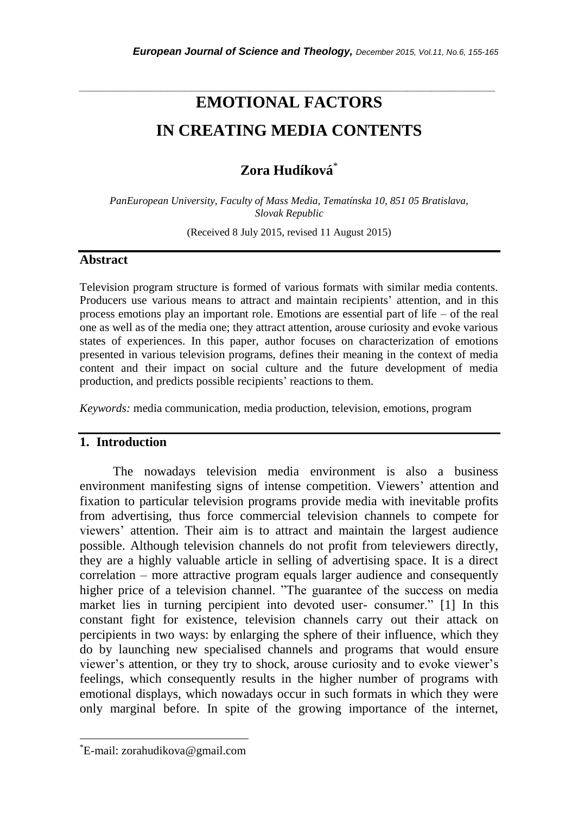# **EMOTIONAL FACTORS IN CREATING MEDIA CONTENTS**

*\_\_\_\_\_\_\_\_\_\_\_\_\_\_\_\_\_\_\_\_\_\_\_\_\_\_\_\_\_\_\_\_\_\_\_\_\_\_\_\_\_\_\_\_\_\_\_\_\_\_\_\_\_\_\_\_\_\_\_\_\_\_\_\_\_\_\_\_\_\_\_*

# **Zora Hudíková**\*

*PanEuropean University, Faculty of Mass Media, Tematínska 10, 851 05 Bratislava, Slovak Republic*

(Received 8 July 2015, revised 11 August 2015)

#### **Abstract**

Television program structure is formed of various formats with similar media contents. Producers use various means to attract and maintain recipients' attention, and in this process emotions play an important role. Emotions are essential part of life – of the real one as well as of the media one; they attract attention, arouse curiosity and evoke various states of experiences. In this paper, author focuses on characterization of emotions presented in various television programs, defines their meaning in the context of media content and their impact on social culture and the future development of media production, and predicts possible recipients" reactions to them.

*Keywords:* media communication, media production, television, emotions, program

#### **1. Introduction**

The nowadays television media environment is also a business environment manifesting signs of intense competition. Viewers" attention and fixation to particular television programs provide media with inevitable profits from advertising, thus force commercial television channels to compete for viewers" attention. Their aim is to attract and maintain the largest audience possible. Although television channels do not profit from televiewers directly, they are a highly valuable article in selling of advertising space. It is a direct correlation – more attractive program equals larger audience and consequently higher price of a television channel. "The guarantee of the success on media market lies in turning percipient into devoted user- consumer." [1] In this constant fight for existence, television channels carry out their attack on percipients in two ways: by enlarging the sphere of their influence, which they do by launching new specialised channels and programs that would ensure viewer's attention, or they try to shock, arouse curiosity and to evoke viewer's feelings, which consequently results in the higher number of programs with emotional displays, which nowadays occur in such formats in which they were only marginal before. In spite of the growing importance of the internet,

l

<sup>\*</sup>E-mail: zorahudikova@gmail.com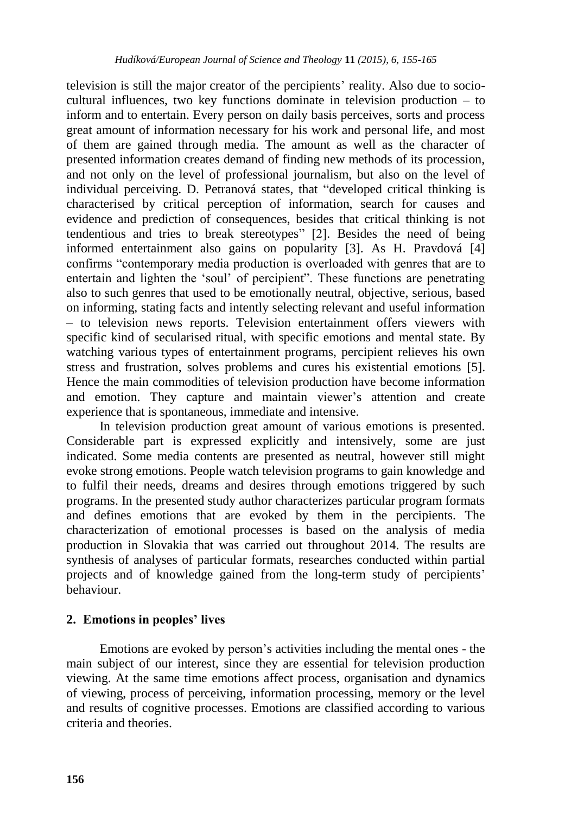television is still the major creator of the percipients" reality. Also due to sociocultural influences, two key functions dominate in television production – to inform and to entertain. Every person on daily basis perceives, sorts and process great amount of information necessary for his work and personal life, and most of them are gained through media. The amount as well as the character of presented information creates demand of finding new methods of its procession, and not only on the level of professional journalism, but also on the level of individual perceiving. D. Petranová states, that "developed critical thinking is characterised by critical perception of information, search for causes and evidence and prediction of consequences, besides that critical thinking is not tendentious and tries to break stereotypes" [2]. Besides the need of being informed entertainment also gains on popularity [3]. As H. Pravdová [4] confirms "contemporary media production is overloaded with genres that are to entertain and lighten the "soul" of percipient". These functions are penetrating also to such genres that used to be emotionally neutral, objective, serious, based on informing, stating facts and intently selecting relevant and useful information – to television news reports. Television entertainment offers viewers with specific kind of secularised ritual, with specific emotions and mental state. By watching various types of entertainment programs, percipient relieves his own stress and frustration, solves problems and cures his existential emotions [5]. Hence the main commodities of television production have become information and emotion. They capture and maintain viewer"s attention and create experience that is spontaneous, immediate and intensive.

In television production great amount of various emotions is presented. Considerable part is expressed explicitly and intensively, some are just indicated. Some media contents are presented as neutral, however still might evoke strong emotions. People watch television programs to gain knowledge and to fulfil their needs, dreams and desires through emotions triggered by such programs. In the presented study author characterizes particular program formats and defines emotions that are evoked by them in the percipients. The characterization of emotional processes is based on the analysis of media production in Slovakia that was carried out throughout 2014. The results are synthesis of analyses of particular formats, researches conducted within partial projects and of knowledge gained from the long-term study of percipients" behaviour.

# **2. Emotions in peoples' lives**

Emotions are evoked by person"s activities including the mental ones - the main subject of our interest, since they are essential for television production viewing. At the same time emotions affect process, organisation and dynamics of viewing, process of perceiving, information processing, memory or the level and results of cognitive processes. Emotions are classified according to various criteria and theories.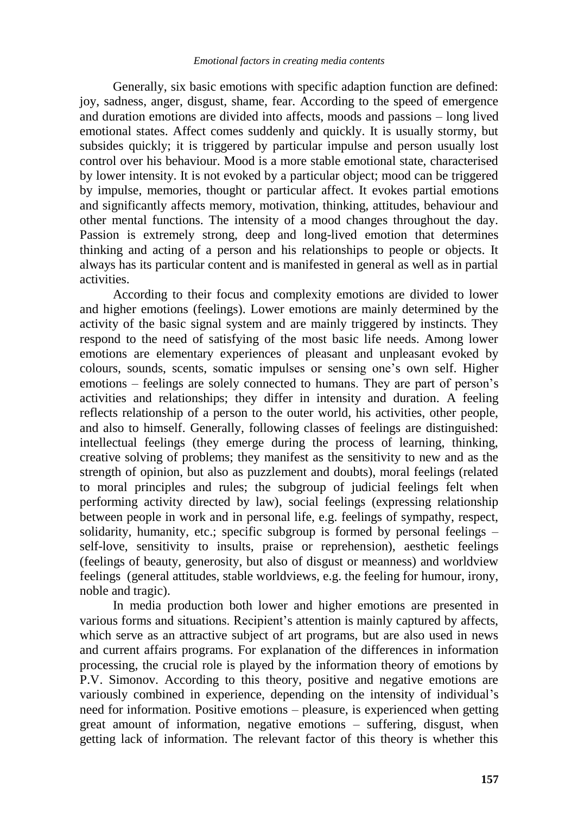Generally, six basic emotions with specific adaption function are defined: joy, sadness, anger, disgust, shame, fear. According to the speed of emergence and duration emotions are divided into affects, moods and passions – long lived emotional states. Affect comes suddenly and quickly. It is usually stormy, but subsides quickly; it is triggered by particular impulse and person usually lost control over his behaviour. Mood is a more stable emotional state, characterised by lower intensity. It is not evoked by a particular object; mood can be triggered by impulse, memories, thought or particular affect. It evokes partial emotions and significantly affects memory, motivation, thinking, attitudes, behaviour and other mental functions. The intensity of a mood changes throughout the day. Passion is extremely strong, deep and long-lived emotion that determines thinking and acting of a person and his relationships to people or objects. It always has its particular content and is manifested in general as well as in partial activities.

According to their focus and complexity emotions are divided to lower and higher emotions (feelings). Lower emotions are mainly determined by the activity of the basic signal system and are mainly triggered by instincts. They respond to the need of satisfying of the most basic life needs. Among lower emotions are elementary experiences of pleasant and unpleasant evoked by colours, sounds, scents, somatic impulses or sensing one"s own self. Higher emotions – feelings are solely connected to humans. They are part of person"s activities and relationships; they differ in intensity and duration. A feeling reflects relationship of a person to the outer world, his activities, other people, and also to himself. Generally, following classes of feelings are distinguished: intellectual feelings (they emerge during the process of learning, thinking, creative solving of problems; they manifest as the sensitivity to new and as the strength of opinion, but also as puzzlement and doubts), moral feelings (related to moral principles and rules; the subgroup of judicial feelings felt when performing activity directed by law), social feelings (expressing relationship between people in work and in personal life, e.g. feelings of sympathy, respect, solidarity, humanity, etc.; specific subgroup is formed by personal feelings – self-love, sensitivity to insults, praise or reprehension), aesthetic feelings (feelings of beauty, generosity, but also of disgust or meanness) and worldview feelings (general attitudes, stable worldviews, e.g. the feeling for humour, irony, noble and tragic).

In media production both lower and higher emotions are presented in various forms and situations. Recipient's attention is mainly captured by affects, which serve as an attractive subject of art programs, but are also used in news and current affairs programs. For explanation of the differences in information processing, the crucial role is played by the information theory of emotions by P.V. Simonov. According to this theory, positive and negative emotions are variously combined in experience, depending on the intensity of individual"s need for information. Positive emotions – pleasure, is experienced when getting great amount of information, negative emotions – suffering, disgust, when getting lack of information. The relevant factor of this theory is whether this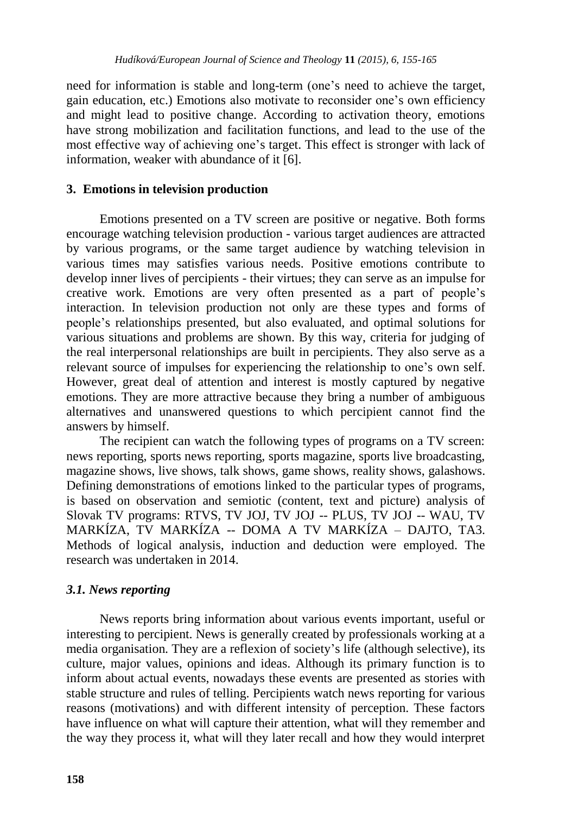need for information is stable and long-term (one"s need to achieve the target, gain education, etc.) Emotions also motivate to reconsider one"s own efficiency and might lead to positive change. According to activation theory, emotions have strong mobilization and facilitation functions, and lead to the use of the most effective way of achieving one's target. This effect is stronger with lack of information, weaker with abundance of it [6].

### **3. Emotions in television production**

Emotions presented on a TV screen are positive or negative. Both forms encourage watching television production - various target audiences are attracted by various programs, or the same target audience by watching television in various times may satisfies various needs. Positive emotions contribute to develop inner lives of percipients - their virtues; they can serve as an impulse for creative work. Emotions are very often presented as a part of people"s interaction. In television production not only are these types and forms of people"s relationships presented, but also evaluated, and optimal solutions for various situations and problems are shown. By this way, criteria for judging of the real interpersonal relationships are built in percipients. They also serve as a relevant source of impulses for experiencing the relationship to one"s own self. However, great deal of attention and interest is mostly captured by negative emotions. They are more attractive because they bring a number of ambiguous alternatives and unanswered questions to which percipient cannot find the answers by himself.

The recipient can watch the following types of programs on a TV screen: news reporting, sports news reporting, sports magazine, sports live broadcasting, magazine shows, live shows, talk shows, game shows, reality shows, galashows. Defining demonstrations of emotions linked to the particular types of programs, is based on observation and semiotic (content, text and picture) analysis of Slovak TV programs: RTVS, TV JOJ, TV JOJ -- PLUS, TV JOJ -- WAU, TV MARKÍZA, TV MARKÍZA -- DOMA A TV MARKÍZA – DAJTO, TA3. Methods of logical analysis, induction and deduction were employed. The research was undertaken in 2014.

### *3.1. News reporting*

News reports bring information about various events important, useful or interesting to percipient. News is generally created by professionals working at a media organisation. They are a reflexion of society"s life (although selective), its culture, major values, opinions and ideas. Although its primary function is to inform about actual events, nowadays these events are presented as stories with stable structure and rules of telling. Percipients watch news reporting for various reasons (motivations) and with different intensity of perception. These factors have influence on what will capture their attention, what will they remember and the way they process it, what will they later recall and how they would interpret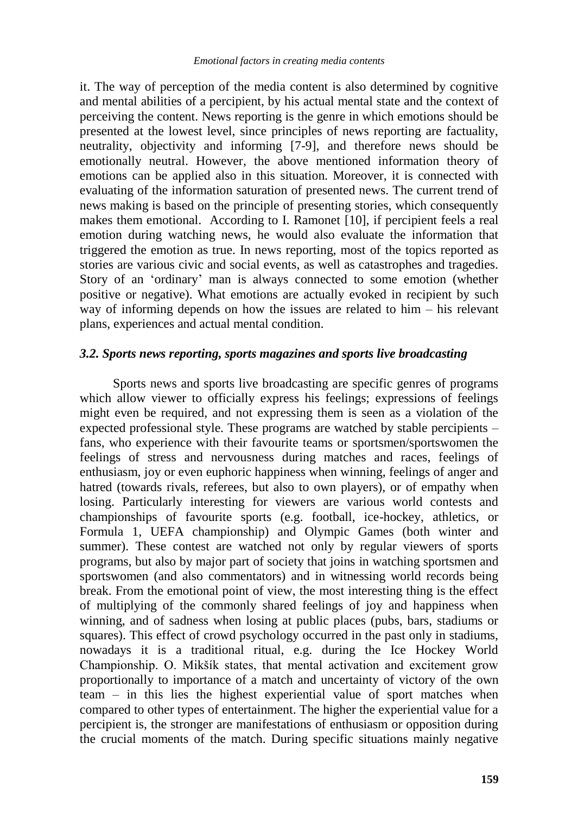it. The way of perception of the media content is also determined by cognitive and mental abilities of a percipient, by his actual mental state and the context of perceiving the content. News reporting is the genre in which emotions should be presented at the lowest level, since principles of news reporting are factuality, neutrality, objectivity and informing [7-9], and therefore news should be emotionally neutral. However, the above mentioned information theory of emotions can be applied also in this situation. Moreover, it is connected with evaluating of the information saturation of presented news. The current trend of news making is based on the principle of presenting stories, which consequently makes them emotional. According to I. Ramonet [10], if percipient feels a real emotion during watching news, he would also evaluate the information that triggered the emotion as true. In news reporting, most of the topics reported as stories are various civic and social events, as well as catastrophes and tragedies. Story of an "ordinary" man is always connected to some emotion (whether positive or negative). What emotions are actually evoked in recipient by such way of informing depends on how the issues are related to him – his relevant plans, experiences and actual mental condition.

#### *3.2. Sports news reporting, sports magazines and sports live broadcasting*

Sports news and sports live broadcasting are specific genres of programs which allow viewer to officially express his feelings; expressions of feelings might even be required, and not expressing them is seen as a violation of the expected professional style. These programs are watched by stable percipients – fans, who experience with their favourite teams or sportsmen/sportswomen the feelings of stress and nervousness during matches and races, feelings of enthusiasm, joy or even euphoric happiness when winning, feelings of anger and hatred (towards rivals, referees, but also to own players), or of empathy when losing. Particularly interesting for viewers are various world contests and championships of favourite sports (e.g. football, ice-hockey, athletics, or Formula 1, UEFA championship) and Olympic Games (both winter and summer). These contest are watched not only by regular viewers of sports programs, but also by major part of society that joins in watching sportsmen and sportswomen (and also commentators) and in witnessing world records being break. From the emotional point of view, the most interesting thing is the effect of multiplying of the commonly shared feelings of joy and happiness when winning, and of sadness when losing at public places (pubs, bars, stadiums or squares). This effect of crowd psychology occurred in the past only in stadiums, nowadays it is a traditional ritual, e.g. during the Ice Hockey World Championship. O. Mikšík states, that mental activation and excitement grow proportionally to importance of a match and uncertainty of victory of the own team – in this lies the highest experiential value of sport matches when compared to other types of entertainment. The higher the experiential value for a percipient is, the stronger are manifestations of enthusiasm or opposition during the crucial moments of the match. During specific situations mainly negative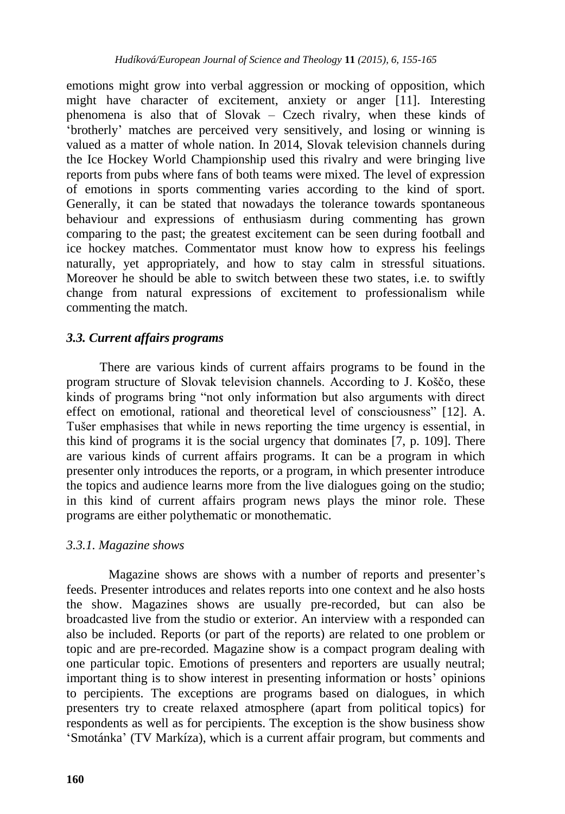emotions might grow into verbal aggression or mocking of opposition, which might have character of excitement, anxiety or anger [11]. Interesting phenomena is also that of Slovak – Czech rivalry, when these kinds of "brotherly" matches are perceived very sensitively, and losing or winning is valued as a matter of whole nation. In 2014, Slovak television channels during the Ice Hockey World Championship used this rivalry and were bringing live reports from pubs where fans of both teams were mixed. The level of expression of emotions in sports commenting varies according to the kind of sport. Generally, it can be stated that nowadays the tolerance towards spontaneous behaviour and expressions of enthusiasm during commenting has grown comparing to the past; the greatest excitement can be seen during football and ice hockey matches. Commentator must know how to express his feelings naturally, yet appropriately, and how to stay calm in stressful situations. Moreover he should be able to switch between these two states, i.e. to swiftly change from natural expressions of excitement to professionalism while commenting the match.

# *3.3. Current affairs programs*

There are various kinds of current affairs programs to be found in the program structure of Slovak television channels. According to J. Koščo, these kinds of programs bring "not only information but also arguments with direct effect on emotional, rational and theoretical level of consciousness" [12]. A. Tušer emphasises that while in news reporting the time urgency is essential, in this kind of programs it is the social urgency that dominates [7, p. 109]. There are various kinds of current affairs programs. It can be a program in which presenter only introduces the reports, or a program, in which presenter introduce the topics and audience learns more from the live dialogues going on the studio; in this kind of current affairs program news plays the minor role. These programs are either polythematic or monothematic.

### *3.3.1. Magazine shows*

Magazine shows are shows with a number of reports and presenter's feeds. Presenter introduces and relates reports into one context and he also hosts the show. Magazines shows are usually pre-recorded, but can also be broadcasted live from the studio or exterior. An interview with a responded can also be included. Reports (or part of the reports) are related to one problem or topic and are pre-recorded. Magazine show is a compact program dealing with one particular topic. Emotions of presenters and reporters are usually neutral; important thing is to show interest in presenting information or hosts' opinions to percipients. The exceptions are programs based on dialogues, in which presenters try to create relaxed atmosphere (apart from political topics) for respondents as well as for percipients. The exception is the show business show "Smotánka" (TV Markíza), which is a current affair program, but comments and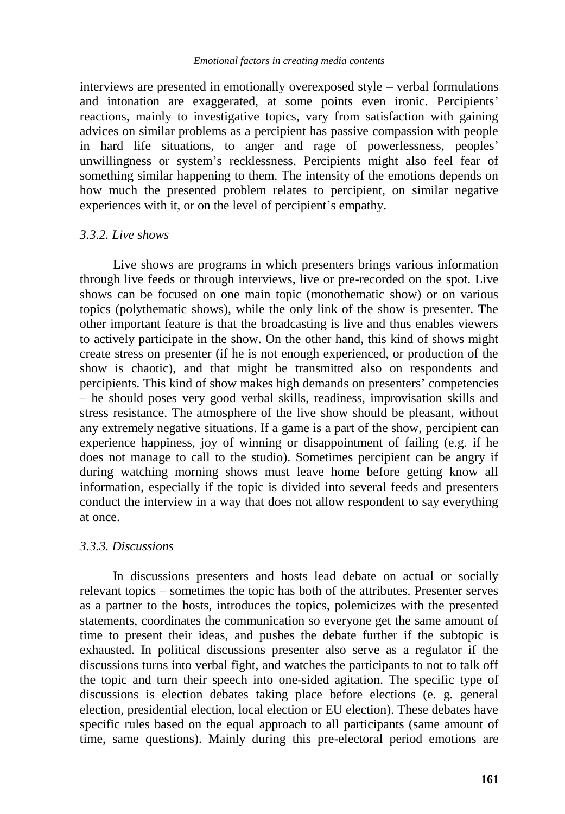interviews are presented in emotionally overexposed style – verbal formulations and intonation are exaggerated, at some points even ironic. Percipients' reactions, mainly to investigative topics, vary from satisfaction with gaining advices on similar problems as a percipient has passive compassion with people in hard life situations, to anger and rage of powerlessness, peoples" unwillingness or system"s recklessness. Percipients might also feel fear of something similar happening to them. The intensity of the emotions depends on how much the presented problem relates to percipient, on similar negative experiences with it, or on the level of percipient's empathy.

### *3.3.2. Live shows*

Live shows are programs in which presenters brings various information through live feeds or through interviews, live or pre-recorded on the spot. Live shows can be focused on one main topic (monothematic show) or on various topics (polythematic shows), while the only link of the show is presenter. The other important feature is that the broadcasting is live and thus enables viewers to actively participate in the show. On the other hand, this kind of shows might create stress on presenter (if he is not enough experienced, or production of the show is chaotic), and that might be transmitted also on respondents and percipients. This kind of show makes high demands on presenters" competencies – he should poses very good verbal skills, readiness, improvisation skills and stress resistance. The atmosphere of the live show should be pleasant, without any extremely negative situations. If a game is a part of the show, percipient can experience happiness, joy of winning or disappointment of failing (e.g. if he does not manage to call to the studio). Sometimes percipient can be angry if during watching morning shows must leave home before getting know all information, especially if the topic is divided into several feeds and presenters conduct the interview in a way that does not allow respondent to say everything at once.

### *3.3.3. Discussions*

In discussions presenters and hosts lead debate on actual or socially relevant topics – sometimes the topic has both of the attributes. Presenter serves as a partner to the hosts, introduces the topics, polemicizes with the presented statements, coordinates the communication so everyone get the same amount of time to present their ideas, and pushes the debate further if the subtopic is exhausted. In political discussions presenter also serve as a regulator if the discussions turns into verbal fight, and watches the participants to not to talk off the topic and turn their speech into one-sided agitation. The specific type of discussions is election debates taking place before elections (e. g. general election, presidential election, local election or EU election). These debates have specific rules based on the equal approach to all participants (same amount of time, same questions). Mainly during this pre-electoral period emotions are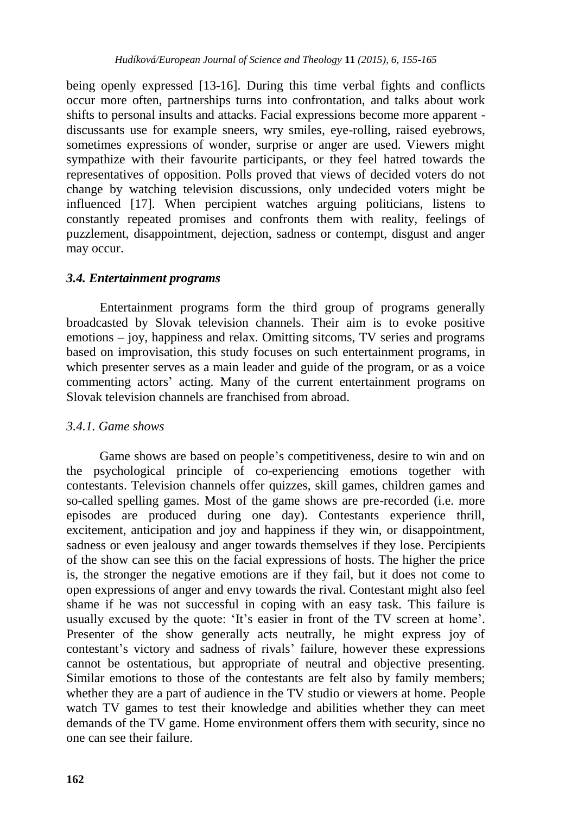being openly expressed [13-16]. During this time verbal fights and conflicts occur more often, partnerships turns into confrontation, and talks about work shifts to personal insults and attacks. Facial expressions become more apparent discussants use for example sneers, wry smiles, eye-rolling, raised eyebrows, sometimes expressions of wonder, surprise or anger are used. Viewers might sympathize with their favourite participants, or they feel hatred towards the representatives of opposition. Polls proved that views of decided voters do not change by watching television discussions, only undecided voters might be influenced [17]. When percipient watches arguing politicians, listens to constantly repeated promises and confronts them with reality, feelings of puzzlement, disappointment, dejection, sadness or contempt, disgust and anger may occur.

# *3.4. Entertainment programs*

Entertainment programs form the third group of programs generally broadcasted by Slovak television channels. Their aim is to evoke positive emotions – joy, happiness and relax. Omitting sitcoms, TV series and programs based on improvisation, this study focuses on such entertainment programs, in which presenter serves as a main leader and guide of the program, or as a voice commenting actors" acting. Many of the current entertainment programs on Slovak television channels are franchised from abroad.

# *3.4.1. Game shows*

Game shows are based on people's competitiveness, desire to win and on the psychological principle of co-experiencing emotions together with contestants. Television channels offer quizzes, skill games, children games and so-called spelling games. Most of the game shows are pre-recorded (i.e. more episodes are produced during one day). Contestants experience thrill, excitement, anticipation and joy and happiness if they win, or disappointment, sadness or even jealousy and anger towards themselves if they lose. Percipients of the show can see this on the facial expressions of hosts. The higher the price is, the stronger the negative emotions are if they fail, but it does not come to open expressions of anger and envy towards the rival. Contestant might also feel shame if he was not successful in coping with an easy task. This failure is usually excused by the quote: 'It's easier in front of the TV screen at home'. Presenter of the show generally acts neutrally, he might express joy of contestant"s victory and sadness of rivals" failure, however these expressions cannot be ostentatious, but appropriate of neutral and objective presenting. Similar emotions to those of the contestants are felt also by family members; whether they are a part of audience in the TV studio or viewers at home. People watch TV games to test their knowledge and abilities whether they can meet demands of the TV game. Home environment offers them with security, since no one can see their failure.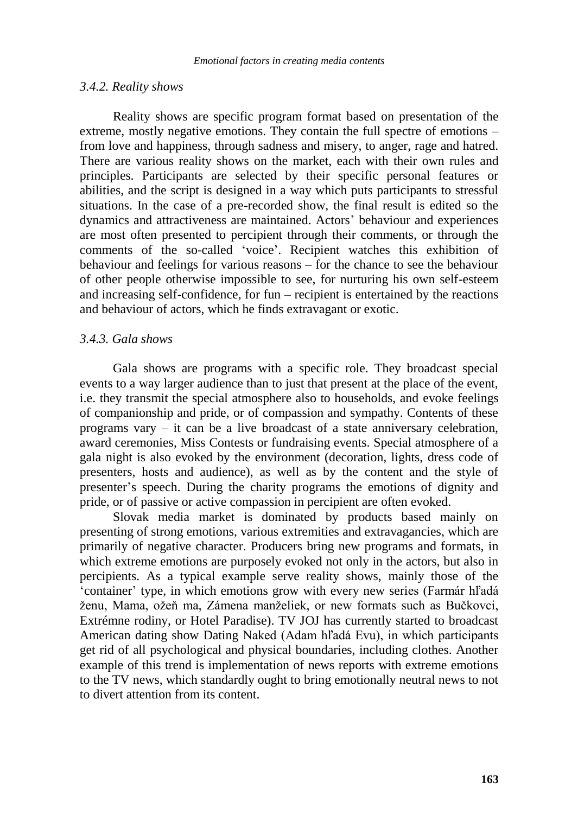#### *3.4.2. Reality shows*

Reality shows are specific program format based on presentation of the extreme, mostly negative emotions. They contain the full spectre of emotions – from love and happiness, through sadness and misery, to anger, rage and hatred. There are various reality shows on the market, each with their own rules and principles. Participants are selected by their specific personal features or abilities, and the script is designed in a way which puts participants to stressful situations. In the case of a pre-recorded show, the final result is edited so the dynamics and attractiveness are maintained. Actors" behaviour and experiences are most often presented to percipient through their comments, or through the comments of the so-called 'voice'. Recipient watches this exhibition of behaviour and feelings for various reasons – for the chance to see the behaviour of other people otherwise impossible to see, for nurturing his own self-esteem and increasing self-confidence, for fun – recipient is entertained by the reactions and behaviour of actors, which he finds extravagant or exotic.

#### *3.4.3. Gala shows*

Gala shows are programs with a specific role. They broadcast special events to a way larger audience than to just that present at the place of the event, i.e. they transmit the special atmosphere also to households, and evoke feelings of companionship and pride, or of compassion and sympathy. Contents of these programs vary – it can be a live broadcast of a state anniversary celebration, award ceremonies, Miss Contests or fundraising events. Special atmosphere of a gala night is also evoked by the environment (decoration, lights, dress code of presenters, hosts and audience), as well as by the content and the style of presenter"s speech. During the charity programs the emotions of dignity and pride, or of passive or active compassion in percipient are often evoked.

Slovak media market is dominated by products based mainly on presenting of strong emotions, various extremities and extravagancies, which are primarily of negative character. Producers bring new programs and formats, in which extreme emotions are purposely evoked not only in the actors, but also in percipients. As a typical example serve reality shows, mainly those of the "container" type, in which emotions grow with every new series (Farmár hľadá ženu, Mama, ožeň ma, Zámena manželiek, or new formats such as Bučkovci, Extrémne rodiny, or Hotel Paradise). TV JOJ has currently started to broadcast American dating show Dating Naked (Adam hľadá Evu), in which participants get rid of all psychological and physical boundaries, including clothes. Another example of this trend is implementation of news reports with extreme emotions to the TV news, which standardly ought to bring emotionally neutral news to not to divert attention from its content.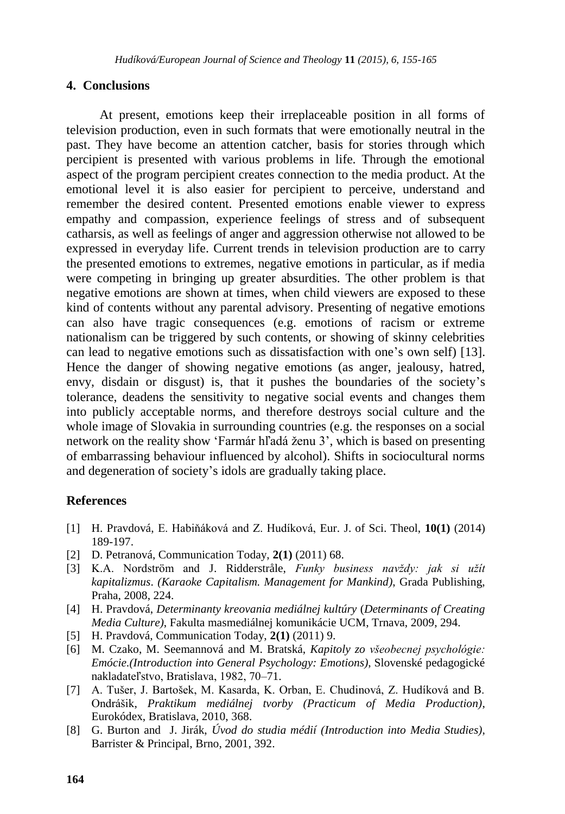#### **4. Conclusions**

At present, emotions keep their irreplaceable position in all forms of television production, even in such formats that were emotionally neutral in the past. They have become an attention catcher, basis for stories through which percipient is presented with various problems in life. Through the emotional aspect of the program percipient creates connection to the media product. At the emotional level it is also easier for percipient to perceive, understand and remember the desired content. Presented emotions enable viewer to express empathy and compassion, experience feelings of stress and of subsequent catharsis, as well as feelings of anger and aggression otherwise not allowed to be expressed in everyday life. Current trends in television production are to carry the presented emotions to extremes, negative emotions in particular, as if media were competing in bringing up greater absurdities. The other problem is that negative emotions are shown at times, when child viewers are exposed to these kind of contents without any parental advisory. Presenting of negative emotions can also have tragic consequences (e.g. emotions of racism or extreme nationalism can be triggered by such contents, or showing of skinny celebrities can lead to negative emotions such as dissatisfaction with one"s own self) [13]. Hence the danger of showing negative emotions (as anger, jealousy, hatred, envy, disdain or disgust) is, that it pushes the boundaries of the society"s tolerance, deadens the sensitivity to negative social events and changes them into publicly acceptable norms, and therefore destroys social culture and the whole image of Slovakia in surrounding countries (e.g. the responses on a social network on the reality show "Farmár hľadá ženu 3", which is based on presenting of embarrassing behaviour influenced by alcohol). Shifts in sociocultural norms and degeneration of society's idols are gradually taking place.

### **References**

- [1] H. Pravdová, E. Habiňáková and Z. Hudíková, Eur. J. of Sci. Theol, **10(1)** (2014) 189-197.
- [2] D. Petranová, Communication Today, **2(1)** (2011) 68.
- [3] K.A. Nordstrӧm and J. Ridderstråle, *Funky business navždy: jak si užít kapitalizmus*. *(Karaoke Capitalism. Management for Mankind)*, Grada Publishing, Praha, 2008, 224.
- [4] H. Pravdová, *Determinanty kreovania mediálnej kultúry* (*Determinants of Creating Media Culture)*, Fakulta masmediálnej komunikácie UCM, Trnava, 2009, 294.
- [5] H. Pravdová, Communication Today, **2(1)** (2011) 9.
- [6] M. Czako, M. Seemannová and M. Bratská, *Kapitoly zo všeobecnej psychológie: Emócie.(Introduction into General Psychology: Emotions)*, Slovenské pedagogické nakladateľstvo, Bratislava, 1982, 70–71.
- [7] A. Tušer, J. Bartošek, M. Kasarda, K. Orban, E. Chudinová, Z. Hudíková and B. Ondrášik, *Praktikum mediálnej tvorby (Practicum of Media Production)*, Eurokódex, Bratislava, 2010, 368.
- [8] G. Burton and J. Jirák, *Úvod do studia médií (Introduction into Media Studies)*, Barrister & Principal, Brno, 2001, 392.